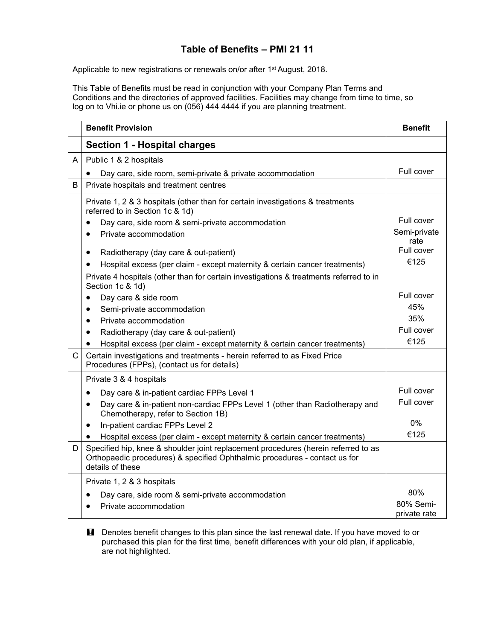## **Table of Benefits – PMI 21 11**

Applicable to new registrations or renewals on/or after 1<sup>st</sup> August, 2018.

This Table of Benefits must be read in conjunction with your Company Plan Terms and Conditions and the directories of approved facilities. Facilities may change from time to time, so log on to Vhi.ie or phone us on (056) 444 4444 if you are planning treatment.

|              | <b>Benefit Provision</b>                                                                                                                                                             | <b>Benefit</b>     |
|--------------|--------------------------------------------------------------------------------------------------------------------------------------------------------------------------------------|--------------------|
|              | <b>Section 1 - Hospital charges</b>                                                                                                                                                  |                    |
| A            | Public 1 & 2 hospitals                                                                                                                                                               |                    |
|              | Day care, side room, semi-private & private accommodation                                                                                                                            | Full cover         |
| B            | Private hospitals and treatment centres                                                                                                                                              |                    |
|              | Private 1, 2 & 3 hospitals (other than for certain investigations & treatments<br>referred to in Section 1c & 1d)                                                                    |                    |
|              | Day care, side room & semi-private accommodation                                                                                                                                     | Full cover         |
|              | Private accommodation<br>$\bullet$                                                                                                                                                   | Semi-private       |
|              |                                                                                                                                                                                      | rate<br>Full cover |
|              | Radiotherapy (day care & out-patient)<br>$\bullet$<br>Hospital excess (per claim - except maternity & certain cancer treatments)<br>٠                                                | €125               |
|              |                                                                                                                                                                                      |                    |
|              | Private 4 hospitals (other than for certain investigations & treatments referred to in<br>Section 1c & 1d)                                                                           |                    |
|              | Day care & side room<br>$\bullet$                                                                                                                                                    | Full cover         |
|              | Semi-private accommodation<br>$\bullet$                                                                                                                                              | 45%                |
|              | Private accommodation<br>$\bullet$                                                                                                                                                   | 35%                |
|              | Radiotherapy (day care & out-patient)<br>$\bullet$                                                                                                                                   | Full cover         |
|              | Hospital excess (per claim - except maternity & certain cancer treatments)                                                                                                           | €125               |
| $\mathsf{C}$ | Certain investigations and treatments - herein referred to as Fixed Price<br>Procedures (FPPs), (contact us for details)                                                             |                    |
|              | Private 3 & 4 hospitals                                                                                                                                                              |                    |
|              | Day care & in-patient cardiac FPPs Level 1<br>$\bullet$                                                                                                                              | Full cover         |
|              | Day care & in-patient non-cardiac FPPs Level 1 (other than Radiotherapy and<br>$\bullet$<br>Chemotherapy, refer to Section 1B)                                                       | Full cover         |
|              | In-patient cardiac FPPs Level 2<br>$\bullet$                                                                                                                                         | 0%                 |
|              | Hospital excess (per claim - except maternity & certain cancer treatments)                                                                                                           | €125               |
| D            | Specified hip, knee & shoulder joint replacement procedures (herein referred to as<br>Orthopaedic procedures) & specified Ophthalmic procedures - contact us for<br>details of these |                    |
|              | Private 1, 2 & 3 hospitals                                                                                                                                                           |                    |
|              | Day care, side room & semi-private accommodation                                                                                                                                     | 80%                |
|              | Private accommodation                                                                                                                                                                | 80% Semi-          |
|              |                                                                                                                                                                                      | private rate       |

**H** Denotes benefit changes to this plan since the last renewal date. If you have moved to or purchased this plan for the first time, benefit differences with your old plan, if applicable, are not highlighted.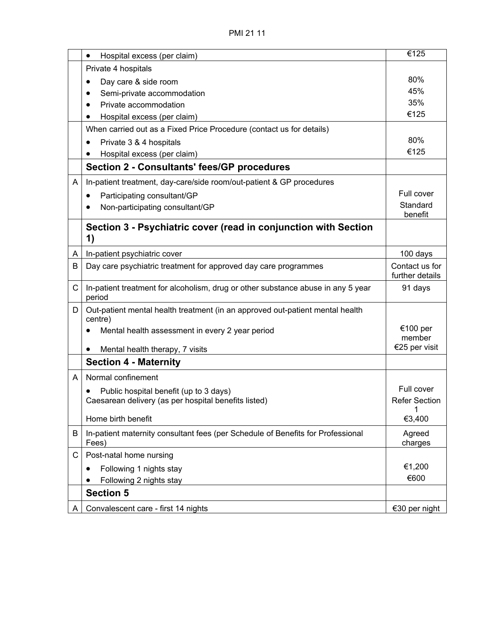|   | Hospital excess (per claim)<br>٠                                                           | €125                                   |
|---|--------------------------------------------------------------------------------------------|----------------------------------------|
|   | Private 4 hospitals                                                                        |                                        |
|   | Day care & side room                                                                       | 80%                                    |
|   | Semi-private accommodation                                                                 | 45%                                    |
|   | Private accommodation                                                                      | 35%                                    |
|   | Hospital excess (per claim)<br>٠                                                           | €125                                   |
|   | When carried out as a Fixed Price Procedure (contact us for details)                       |                                        |
|   | Private 3 & 4 hospitals<br>$\bullet$                                                       | 80%                                    |
|   | Hospital excess (per claim)                                                                | €125                                   |
|   | <b>Section 2 - Consultants' fees/GP procedures</b>                                         |                                        |
| A | In-patient treatment, day-care/side room/out-patient & GP procedures                       |                                        |
|   | Participating consultant/GP<br>$\bullet$                                                   | Full cover                             |
|   | Non-participating consultant/GP                                                            | Standard                               |
|   |                                                                                            | benefit                                |
|   | Section 3 - Psychiatric cover (read in conjunction with Section                            |                                        |
|   | 1)                                                                                         |                                        |
| A | In-patient psychiatric cover                                                               | 100 days                               |
| В | Day care psychiatric treatment for approved day care programmes                            | Contact us for                         |
|   |                                                                                            | further details                        |
| C | In-patient treatment for alcoholism, drug or other substance abuse in any 5 year<br>period | 91 days                                |
| D | Out-patient mental health treatment (in an approved out-patient mental health<br>centre)   |                                        |
|   | Mental health assessment in every 2 year period<br>٠                                       | €100 per                               |
|   |                                                                                            | member<br>€25 per visit                |
|   | Mental health therapy, 7 visits<br>٠                                                       |                                        |
|   | <b>Section 4 - Maternity</b>                                                               |                                        |
| A | Normal confinement                                                                         |                                        |
|   | Public hospital benefit (up to 3 days)                                                     | Full cover                             |
|   | Caesarean delivery (as per hospital benefits listed)                                       | <b>Refer Section</b><br>$\overline{1}$ |
|   | Home birth benefit                                                                         | €3,400                                 |
| В | In-patient maternity consultant fees (per Schedule of Benefits for Professional            | Agreed                                 |
|   | Fees)                                                                                      | charges                                |
| С | Post-natal home nursing                                                                    |                                        |
|   |                                                                                            |                                        |
|   | Following 1 nights stay                                                                    | €1,200                                 |
|   | Following 2 nights stay                                                                    | €600                                   |
|   | <b>Section 5</b>                                                                           |                                        |
| A | Convalescent care - first 14 nights                                                        | €30 per night                          |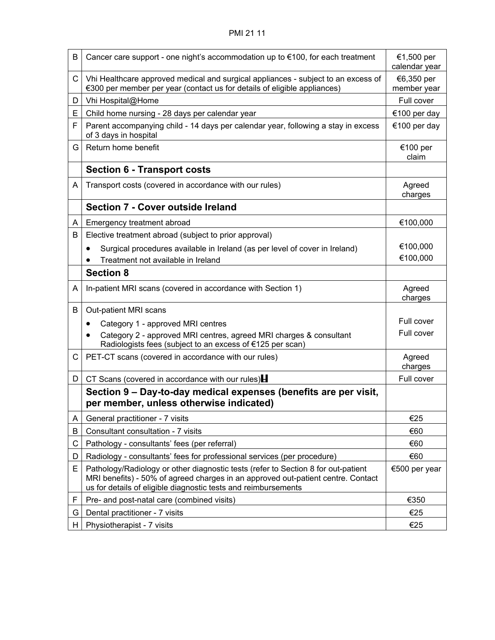## PMI 21 11

| B | Cancer care support - one night's accommodation up to €100, for each treatment                                                                                                                                                          | €1,500 per<br>calendar year |
|---|-----------------------------------------------------------------------------------------------------------------------------------------------------------------------------------------------------------------------------------------|-----------------------------|
| C | Vhi Healthcare approved medical and surgical appliances - subject to an excess of<br>€300 per member per year (contact us for details of eligible appliances)                                                                           | €6,350 per<br>member year   |
| D | Vhi Hospital@Home                                                                                                                                                                                                                       | Full cover                  |
| E | Child home nursing - 28 days per calendar year                                                                                                                                                                                          | €100 per day                |
| F | Parent accompanying child - 14 days per calendar year, following a stay in excess<br>of 3 days in hospital                                                                                                                              | €100 per day                |
| G | Return home benefit                                                                                                                                                                                                                     | €100 per<br>claim           |
|   | <b>Section 6 - Transport costs</b>                                                                                                                                                                                                      |                             |
| A | Transport costs (covered in accordance with our rules)                                                                                                                                                                                  | Agreed<br>charges           |
|   | Section 7 - Cover outside Ireland                                                                                                                                                                                                       |                             |
| A | Emergency treatment abroad                                                                                                                                                                                                              | €100,000                    |
| В | Elective treatment abroad (subject to prior approval)                                                                                                                                                                                   |                             |
|   | Surgical procedures available in Ireland (as per level of cover in Ireland)<br>$\bullet$                                                                                                                                                | €100,000                    |
|   | Treatment not available in Ireland                                                                                                                                                                                                      | €100,000                    |
|   | <b>Section 8</b>                                                                                                                                                                                                                        |                             |
| A | In-patient MRI scans (covered in accordance with Section 1)                                                                                                                                                                             | Agreed<br>charges           |
| B | Out-patient MRI scans                                                                                                                                                                                                                   |                             |
|   | Category 1 - approved MRI centres<br>$\bullet$                                                                                                                                                                                          | Full cover                  |
|   | Category 2 - approved MRI centres, agreed MRI charges & consultant<br>Radiologists fees (subject to an excess of €125 per scan)                                                                                                         | Full cover                  |
| С | PET-CT scans (covered in accordance with our rules)                                                                                                                                                                                     | Agreed<br>charges           |
| D | CT Scans (covered in accordance with our rules) $\blacksquare$                                                                                                                                                                          | Full cover                  |
|   | Section 9 – Day-to-day medical expenses (benefits are per visit,<br>per member, unless otherwise indicated)                                                                                                                             |                             |
| A | General practitioner - 7 visits                                                                                                                                                                                                         | €25                         |
| В | Consultant consultation - 7 visits                                                                                                                                                                                                      | €60                         |
| С | Pathology - consultants' fees (per referral)                                                                                                                                                                                            | €60                         |
| D | Radiology - consultants' fees for professional services (per procedure)                                                                                                                                                                 | €60                         |
| Е | Pathology/Radiology or other diagnostic tests (refer to Section 8 for out-patient<br>MRI benefits) - 50% of agreed charges in an approved out-patient centre. Contact<br>us for details of eligible diagnostic tests and reimbursements | €500 per year               |
| F | Pre- and post-natal care (combined visits)                                                                                                                                                                                              | €350                        |
| G | Dental practitioner - 7 visits                                                                                                                                                                                                          | €25                         |
| H | Physiotherapist - 7 visits                                                                                                                                                                                                              | €25                         |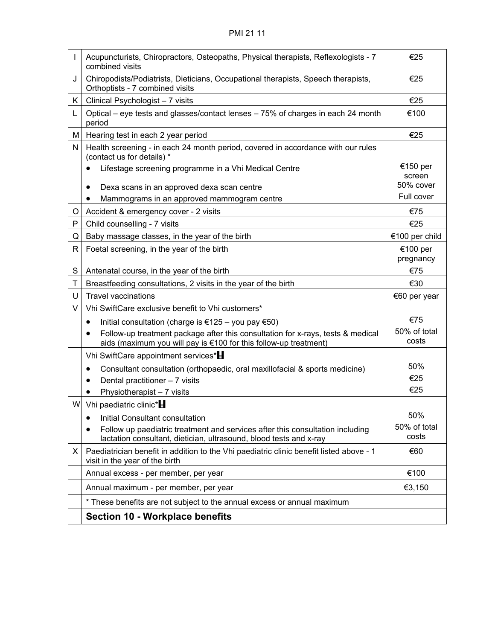| I  | Acupuncturists, Chiropractors, Osteopaths, Physical therapists, Reflexologists - 7<br>combined visits                                                            | €25                   |
|----|------------------------------------------------------------------------------------------------------------------------------------------------------------------|-----------------------|
| J  | Chiropodists/Podiatrists, Dieticians, Occupational therapists, Speech therapists,<br>Orthoptists - 7 combined visits                                             | €25                   |
| K. | Clinical Psychologist - 7 visits                                                                                                                                 | €25                   |
| L  | Optical – eye tests and glasses/contact lenses – 75% of charges in each 24 month<br>period                                                                       | €100                  |
| M  | Hearing test in each 2 year period                                                                                                                               | €25                   |
| Ν  | Health screening - in each 24 month period, covered in accordance with our rules<br>(contact us for details) *                                                   |                       |
|    | Lifestage screening programme in a Vhi Medical Centre                                                                                                            | €150 per<br>screen    |
|    | Dexa scans in an approved dexa scan centre                                                                                                                       | 50% cover             |
|    | Mammograms in an approved mammogram centre                                                                                                                       | Full cover            |
| O  | Accident & emergency cover - 2 visits                                                                                                                            | €75                   |
| P  | Child counselling - 7 visits                                                                                                                                     | €25                   |
| Q  | Baby massage classes, in the year of the birth                                                                                                                   | €100 per child        |
| R  | Foetal screening, in the year of the birth                                                                                                                       | €100 per<br>pregnancy |
| S  | Antenatal course, in the year of the birth                                                                                                                       | €75                   |
| Τ  | Breastfeeding consultations, 2 visits in the year of the birth                                                                                                   | €30                   |
| U  | <b>Travel vaccinations</b>                                                                                                                                       | €60 per year          |
| V  | Vhi SwiftCare exclusive benefit to Vhi customers*                                                                                                                |                       |
|    | Initial consultation (charge is €125 – you pay €50)<br>$\bullet$                                                                                                 | €75                   |
|    | Follow-up treatment package after this consultation for x-rays, tests & medical<br>$\bullet$<br>aids (maximum you will pay is €100 for this follow-up treatment) | 50% of total<br>costs |
|    | Vhi SwiftCare appointment services*H                                                                                                                             |                       |
|    | Consultant consultation (orthopaedic, oral maxillofacial & sports medicine)<br>$\bullet$                                                                         | 50%                   |
|    | Dental practitioner - 7 visits<br>$\bullet$                                                                                                                      | €25                   |
|    | Physiotherapist - 7 visits                                                                                                                                       | €25                   |
| W  | Vhi paediatric clinic* <b>H</b>                                                                                                                                  |                       |
|    | Initial Consultant consultation                                                                                                                                  | 50%                   |
|    | Follow up paediatric treatment and services after this consultation including<br>lactation consultant, dietician, ultrasound, blood tests and x-ray              | 50% of total<br>costs |
| X. | Paediatrician benefit in addition to the Vhi paediatric clinic benefit listed above - 1<br>visit in the year of the birth                                        | €60                   |
|    | Annual excess - per member, per year                                                                                                                             | €100                  |
|    | Annual maximum - per member, per year                                                                                                                            | €3,150                |
|    | * These benefits are not subject to the annual excess or annual maximum                                                                                          |                       |
|    | <b>Section 10 - Workplace benefits</b>                                                                                                                           |                       |